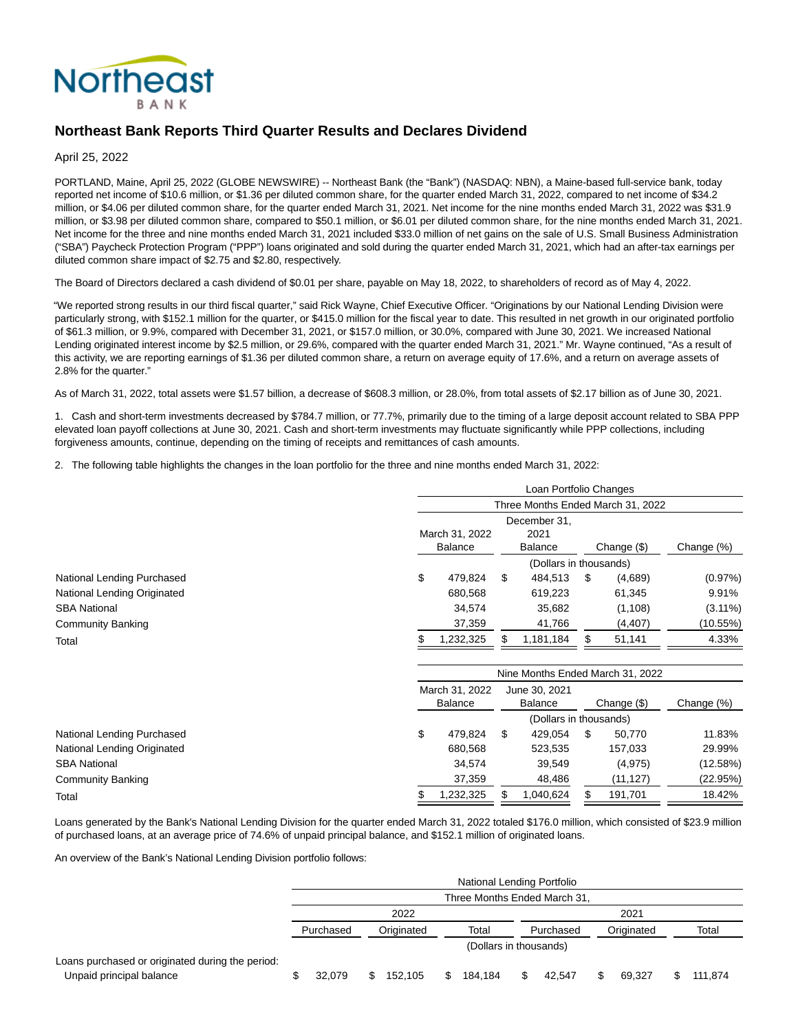

# **Northeast Bank Reports Third Quarter Results and Declares Dividend**

April 25, 2022

PORTLAND, Maine, April 25, 2022 (GLOBE NEWSWIRE) -- Northeast Bank (the "Bank") (NASDAQ: NBN), a Maine-based full-service bank, today reported net income of \$10.6 million, or \$1.36 per diluted common share, for the quarter ended March 31, 2022, compared to net income of \$34.2 million, or \$4.06 per diluted common share, for the quarter ended March 31, 2021. Net income for the nine months ended March 31, 2022 was \$31.9 million, or \$3.98 per diluted common share, compared to \$50.1 million, or \$6.01 per diluted common share, for the nine months ended March 31, 2021. Net income for the three and nine months ended March 31, 2021 included \$33.0 million of net gains on the sale of U.S. Small Business Administration ("SBA") Paycheck Protection Program ("PPP") loans originated and sold during the quarter ended March 31, 2021, which had an after-tax earnings per diluted common share impact of \$2.75 and \$2.80, respectively.

The Board of Directors declared a cash dividend of \$0.01 per share, payable on May 18, 2022, to shareholders of record as of May 4, 2022.

"We reported strong results in our third fiscal quarter," said Rick Wayne, Chief Executive Officer. "Originations by our National Lending Division were particularly strong, with \$152.1 million for the quarter, or \$415.0 million for the fiscal year to date. This resulted in net growth in our originated portfolio of \$61.3 million, or 9.9%, compared with December 31, 2021, or \$157.0 million, or 30.0%, compared with June 30, 2021. We increased National Lending originated interest income by \$2.5 million, or 29.6%, compared with the quarter ended March 31, 2021." Mr. Wayne continued, "As a result of this activity, we are reporting earnings of \$1.36 per diluted common share, a return on average equity of 17.6%, and a return on average assets of 2.8% for the quarter."

As of March 31, 2022, total assets were \$1.57 billion, a decrease of \$608.3 million, or 28.0%, from total assets of \$2.17 billion as of June 30, 2021.

1. Cash and short-term investments decreased by \$784.7 million, or 77.7%, primarily due to the timing of a large deposit account related to SBA PPP elevated loan payoff collections at June 30, 2021. Cash and short-term investments may fluctuate significantly while PPP collections, including forgiveness amounts, continue, depending on the timing of receipts and remittances of cash amounts.

2. The following table highlights the changes in the loan portfolio for the three and nine months ended March 31, 2022:

|                             |                                                                     |                |    | Loan Portfolio Changes |     |                                   |            |
|-----------------------------|---------------------------------------------------------------------|----------------|----|------------------------|-----|-----------------------------------|------------|
|                             |                                                                     |                |    |                        |     | Three Months Ended March 31, 2022 |            |
|                             | December 31.<br>2021<br>March 31, 2022<br><b>Balance</b><br>Balance |                |    |                        |     | Change $(\$)$                     | Change (%) |
|                             |                                                                     |                |    | (Dollars in thousands) |     |                                   |            |
| National Lending Purchased  | \$                                                                  | 479,824        | S  | 484,513                | \$  | (4,689)                           | (0.97%)    |
| National Lending Originated |                                                                     | 680,568        |    | 619,223                |     | 61,345                            | 9.91%      |
| <b>SBA National</b>         |                                                                     | 34,574         |    | 35,682                 |     | (1, 108)                          | $(3.11\%)$ |
| <b>Community Banking</b>    |                                                                     | 37,359         |    | 41,766                 |     | (4, 407)                          | (10.55%)   |
| Total                       |                                                                     | 1,232,325      |    | 1,181,184              |     | 51,141                            | 4.33%      |
|                             | Nine Months Ended March 31, 2022                                    |                |    |                        |     |                                   |            |
|                             |                                                                     | March 31, 2022 |    | June 30, 2021          |     |                                   |            |
|                             |                                                                     | <b>Balance</b> |    | <b>Balance</b>         |     | Change $(\$)$                     | Change (%) |
|                             |                                                                     |                |    | (Dollars in thousands) |     |                                   |            |
| National Lending Purchased  | \$                                                                  | 479,824        | \$ | 429,054                | \$  | 50,770                            | 11.83%     |
| National Lending Originated |                                                                     | 680,568        |    | 523,535                |     | 157,033                           | 29.99%     |
| <b>SBA National</b>         |                                                                     | 34,574         |    | 39,549                 |     | (4, 975)                          | (12.58%)   |
| <b>Community Banking</b>    |                                                                     | 37,359         |    | 48,486                 |     | (11, 127)                         | (22.95%)   |
| Total                       |                                                                     | 1,232,325      |    | 1,040,624              | \$. | 191,701                           | 18.42%     |

Loans generated by the Bank's National Lending Division for the quarter ended March 31, 2022 totaled \$176.0 million, which consisted of \$23.9 million of purchased loans, at an average price of 74.6% of unpaid principal balance, and \$152.1 million of originated loans.

An overview of the Bank's National Lending Division portfolio follows:

|                                                                              | National Lending Portfolio   |   |            |     |                        |     |           |  |            |  |         |
|------------------------------------------------------------------------------|------------------------------|---|------------|-----|------------------------|-----|-----------|--|------------|--|---------|
|                                                                              | Three Months Ended March 31, |   |            |     |                        |     |           |  |            |  |         |
|                                                                              | 2022<br>2021                 |   |            |     |                        |     |           |  |            |  |         |
|                                                                              | Purchased                    |   | Originated |     | Total                  |     | Purchased |  | Originated |  | Total   |
|                                                                              |                              |   |            |     | (Dollars in thousands) |     |           |  |            |  |         |
| Loans purchased or originated during the period:<br>Unpaid principal balance | 32.079                       | S | 152.105    | \$. | 184.184                | \$. | 42.547    |  | 69.327     |  | 111.874 |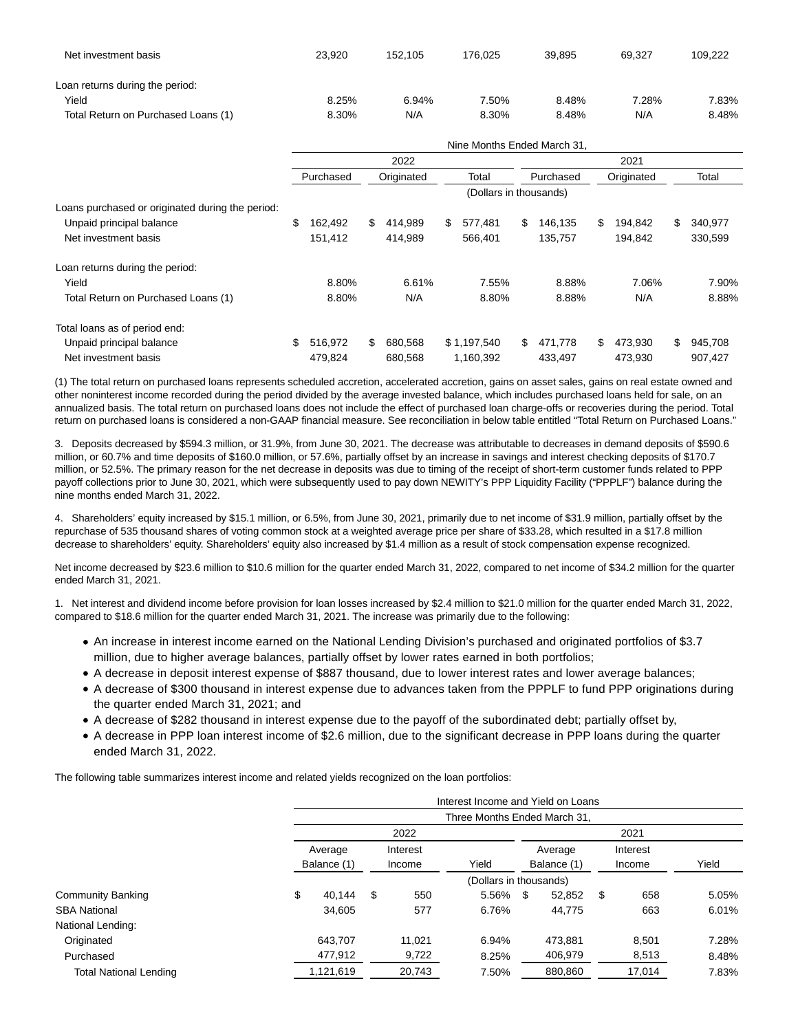| Net investment basis                | 23.920 | 152.105 | 176.025 | 39.895 | 69.327 | 109.222 |
|-------------------------------------|--------|---------|---------|--------|--------|---------|
| Loan returns during the period:     |        |         |         |        |        |         |
| Yield                               | 8.25%  | 6.94%   | 7.50%   | 8.48%  | 7.28%  | 7.83%   |
| Total Return on Purchased Loans (1) | 8.30%  | N/A     | 8.30%   | 8.48%  | N/A    | 8.48%   |

|                                                  |               |    |            |       | Nine Months Ended March 31, |           |            |     |         |               |
|--------------------------------------------------|---------------|----|------------|-------|-----------------------------|-----------|------------|-----|---------|---------------|
|                                                  |               |    | 2022       |       |                             |           |            |     | 2021    |               |
|                                                  | Purchased     |    | Originated | Total |                             | Purchased | Originated |     | Total   |               |
|                                                  |               |    |            |       | (Dollars in thousands)      |           |            |     |         |               |
| Loans purchased or originated during the period: |               |    |            |       |                             |           |            |     |         |               |
| Unpaid principal balance                         | \$<br>162,492 | \$ | 414.989    | \$    | 577,481                     | \$.       | 146.135    | \$. | 194,842 | \$<br>340,977 |
| Net investment basis                             | 151,412       |    | 414.989    |       | 566.401                     |           | 135.757    |     | 194.842 | 330,599       |
| Loan returns during the period:                  |               |    |            |       |                             |           |            |     |         |               |
| Yield                                            | 8.80%         |    | 6.61%      |       | 7.55%                       |           | 8.88%      |     | 7.06%   | 7.90%         |
| Total Return on Purchased Loans (1)              | 8.80%         |    | N/A        |       | 8.80%                       |           | 8.88%      |     | N/A     | 8.88%         |
| Total loans as of period end:                    |               |    |            |       |                             |           |            |     |         |               |
| Unpaid principal balance                         | \$<br>516.972 | \$ | 680.568    |       | \$1,197,540                 | \$.       | 471.778    | \$  | 473,930 | \$<br>945,708 |
| Net investment basis                             | 479.824       |    | 680,568    |       | 1,160,392                   |           | 433,497    |     | 473.930 | 907.427       |

(1) The total return on purchased loans represents scheduled accretion, accelerated accretion, gains on asset sales, gains on real estate owned and other noninterest income recorded during the period divided by the average invested balance, which includes purchased loans held for sale, on an annualized basis. The total return on purchased loans does not include the effect of purchased loan charge-offs or recoveries during the period. Total return on purchased loans is considered a non-GAAP financial measure. See reconciliation in below table entitled "Total Return on Purchased Loans."

3. Deposits decreased by \$594.3 million, or 31.9%, from June 30, 2021. The decrease was attributable to decreases in demand deposits of \$590.6 million, or 60.7% and time deposits of \$160.0 million, or 57.6%, partially offset by an increase in savings and interest checking deposits of \$170.7 million, or 52.5%. The primary reason for the net decrease in deposits was due to timing of the receipt of short-term customer funds related to PPP payoff collections prior to June 30, 2021, which were subsequently used to pay down NEWITY's PPP Liquidity Facility ("PPPLF") balance during the nine months ended March 31, 2022.

4. Shareholders' equity increased by \$15.1 million, or 6.5%, from June 30, 2021, primarily due to net income of \$31.9 million, partially offset by the repurchase of 535 thousand shares of voting common stock at a weighted average price per share of \$33.28, which resulted in a \$17.8 million decrease to shareholders' equity. Shareholders' equity also increased by \$1.4 million as a result of stock compensation expense recognized.

Net income decreased by \$23.6 million to \$10.6 million for the quarter ended March 31, 2022, compared to net income of \$34.2 million for the quarter ended March 31, 2021.

1. Net interest and dividend income before provision for loan losses increased by \$2.4 million to \$21.0 million for the quarter ended March 31, 2022, compared to \$18.6 million for the quarter ended March 31, 2021. The increase was primarily due to the following:

- An increase in interest income earned on the National Lending Division's purchased and originated portfolios of \$3.7 million, due to higher average balances, partially offset by lower rates earned in both portfolios;
- A decrease in deposit interest expense of \$887 thousand, due to lower interest rates and lower average balances;
- A decrease of \$300 thousand in interest expense due to advances taken from the PPPLF to fund PPP originations during the quarter ended March 31, 2021; and
- A decrease of \$282 thousand in interest expense due to the payoff of the subordinated debt; partially offset by,
- A decrease in PPP loan interest income of \$2.6 million, due to the significant decrease in PPP loans during the quarter ended March 31, 2022.

The following table summarizes interest income and related yields recognized on the loan portfolios:

|                               |    |                        |      |          | Interest Income and Yield on Loans |             |         |          |        |       |
|-------------------------------|----|------------------------|------|----------|------------------------------------|-------------|---------|----------|--------|-------|
|                               |    |                        |      |          | Three Months Ended March 31,       |             |         |          |        |       |
|                               |    |                        | 2022 |          |                                    |             |         |          |        |       |
|                               |    | Average<br>Balance (1) |      | Interest |                                    | Average     |         | Interest |        |       |
|                               |    |                        |      | Income   | Yield                              | Balance (1) |         | Income   |        | Yield |
|                               |    |                        |      |          | (Dollars in thousands)             |             |         |          |        |       |
| <b>Community Banking</b>      | \$ | 40.144                 | \$   | 550      | 5.56%                              | S           | 52,852  | \$       | 658    | 5.05% |
| <b>SBA National</b>           |    | 34.605                 |      | 577      | 6.76%                              |             | 44.775  |          | 663    | 6.01% |
| National Lending:             |    |                        |      |          |                                    |             |         |          |        |       |
| Originated                    |    | 643.707                |      | 11.021   | 6.94%                              |             | 473.881 |          | 8.501  | 7.28% |
| Purchased                     |    | 477,912                |      | 9,722    | 8.25%                              |             | 406,979 |          | 8,513  | 8.48% |
| <b>Total National Lending</b> |    | 1,121,619              |      | 20,743   | 7.50%                              |             | 880,860 |          | 17,014 | 7.83% |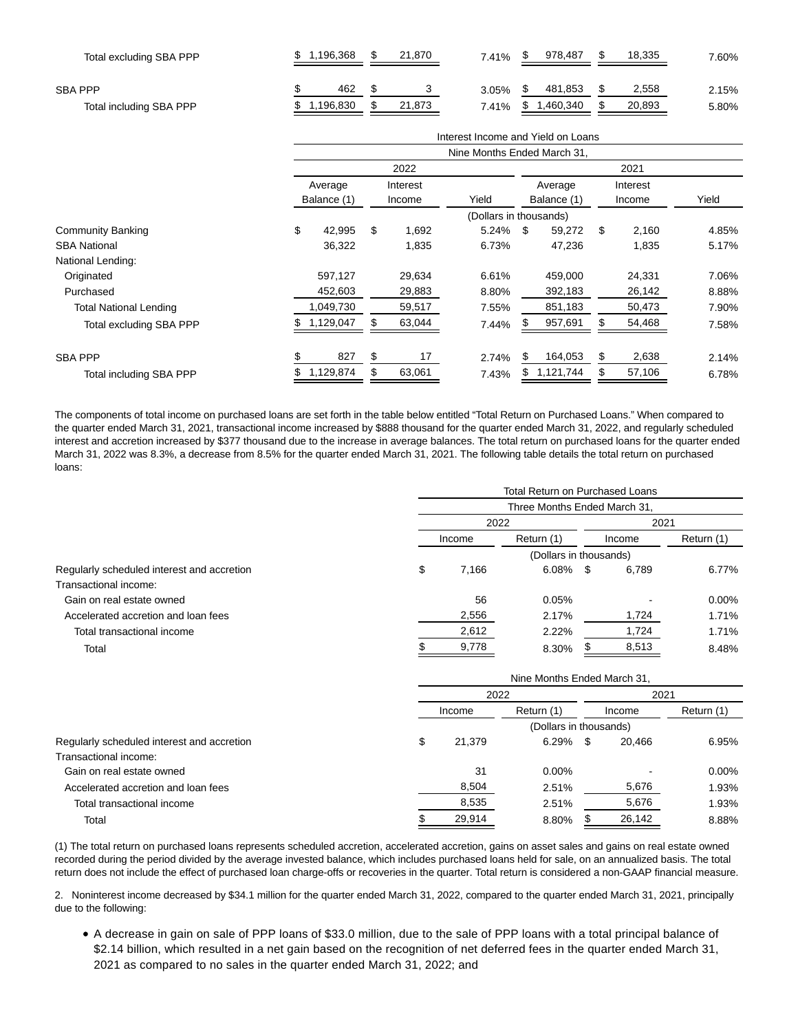| Total excluding SBA PPP | .196.368 |          |  | 21.870 | 7.41%    | 978,487        | 18,335 |        | $.60\%$ |
|-------------------------|----------|----------|--|--------|----------|----------------|--------|--------|---------|
| <b>SBA PPP</b>          |          | 462      |  |        | 3.05%    | 481,853        |        | 2,558  | 2.15%   |
| Total including SBA PPP |          | .196,830 |  | 21,873 | $7.41\%$ | \$<br>.460,340 |        | 20,893 | 5.80%   |

|                                |    |                                                       |     |         | Interest Income and Yield on Loans |             |           |        |        |       |  |  |  |
|--------------------------------|----|-------------------------------------------------------|-----|---------|------------------------------------|-------------|-----------|--------|--------|-------|--|--|--|
|                                |    |                                                       |     |         | Nine Months Ended March 31,        |             |           |        |        |       |  |  |  |
|                                |    |                                                       |     | 2022    |                                    |             |           |        | 2021   |       |  |  |  |
|                                |    | Interest<br>Average<br>Yield<br>Balance (1)<br>Income |     | Average |                                    | Interest    |           |        |        |       |  |  |  |
|                                |    |                                                       |     |         |                                    | Balance (1) |           | Income |        | Yield |  |  |  |
|                                |    | (Dollars in thousands)                                |     |         |                                    |             |           |        |        |       |  |  |  |
| <b>Community Banking</b>       | \$ | 42,995                                                | S   | 1,692   | 5.24%                              | \$          | 59,272    | \$     | 2,160  | 4.85% |  |  |  |
| <b>SBA National</b>            |    | 36,322                                                |     | 1,835   | 6.73%                              |             | 47,236    |        | 1,835  | 5.17% |  |  |  |
| National Lending:              |    |                                                       |     |         |                                    |             |           |        |        |       |  |  |  |
| Originated                     |    | 597,127                                               |     | 29,634  | 6.61%                              |             | 459,000   |        | 24,331 | 7.06% |  |  |  |
| Purchased                      |    | 452,603                                               |     | 29,883  | 8.80%                              |             | 392,183   |        | 26,142 | 8.88% |  |  |  |
| <b>Total National Lending</b>  |    | 1,049,730                                             |     | 59,517  | 7.55%                              |             | 851,183   |        | 50,473 | 7.90% |  |  |  |
| Total excluding SBA PPP        |    | 1,129,047                                             |     | 63,044  | 7.44%                              |             | 957,691   |        | 54,468 | 7.58% |  |  |  |
| <b>SBA PPP</b>                 | \$ | 827                                                   | \$  | 17      | 2.74%                              | \$          | 164,053   | \$     | 2,638  | 2.14% |  |  |  |
| <b>Total including SBA PPP</b> |    | 1,129,874                                             | \$. | 63,061  | 7.43%                              | \$          | 1,121,744 | S      | 57,106 | 6.78% |  |  |  |

The components of total income on purchased loans are set forth in the table below entitled "Total Return on Purchased Loans." When compared to the quarter ended March 31, 2021, transactional income increased by \$888 thousand for the quarter ended March 31, 2022, and regularly scheduled interest and accretion increased by \$377 thousand due to the increase in average balances. The total return on purchased loans for the quarter ended March 31, 2022 was 8.3%, a decrease from 8.5% for the quarter ended March 31, 2021. The following table details the total return on purchased loans:

|                      |       |       | 2021 |             |                                                                                                     |  |
|----------------------|-------|-------|------|-------------|-----------------------------------------------------------------------------------------------------|--|
| Return (1)<br>Income |       |       |      |             | Return (1)                                                                                          |  |
|                      |       |       |      |             |                                                                                                     |  |
| \$                   | 7.166 |       |      | 6.789       | 6.77%                                                                                               |  |
|                      |       |       |      |             |                                                                                                     |  |
|                      | 56    | 0.05% |      |             | $0.00\%$                                                                                            |  |
|                      | 2,556 | 2.17% |      | 1,724       | 1.71%                                                                                               |  |
|                      | 2,612 | 2.22% |      | 1,724       | 1.71%                                                                                               |  |
|                      | 9,778 | 8.30% |      | 8,513       | 8.48%                                                                                               |  |
|                      |       |       | 2022 | $6.08\%$ \$ | Total Return on Purchased Loans<br>Three Months Ended March 31,<br>Income<br>(Dollars in thousands) |  |

|                                            |      |        | Nine Months Ended March 31, |    |        |            |  |
|--------------------------------------------|------|--------|-----------------------------|----|--------|------------|--|
|                                            | 2022 |        |                             |    | 2021   |            |  |
|                                            |      | Income | Return (1)                  |    | Income | Return (1) |  |
|                                            |      |        | (Dollars in thousands)      |    |        |            |  |
| Regularly scheduled interest and accretion | \$   | 21,379 | 6.29%                       | \$ | 20.466 | 6.95%      |  |
| Transactional income:                      |      |        |                             |    |        |            |  |
| Gain on real estate owned                  |      | 31     | $0.00\%$                    |    |        | $0.00\%$   |  |
| Accelerated accretion and loan fees        |      | 8,504  | 2.51%                       |    | 5,676  | 1.93%      |  |
| Total transactional income                 |      | 8,535  | 2.51%                       |    | 5,676  | 1.93%      |  |
| Total                                      |      | 29,914 | 8.80%                       |    | 26,142 | 8.88%      |  |

(1) The total return on purchased loans represents scheduled accretion, accelerated accretion, gains on asset sales and gains on real estate owned recorded during the period divided by the average invested balance, which includes purchased loans held for sale, on an annualized basis. The total return does not include the effect of purchased loan charge-offs or recoveries in the quarter. Total return is considered a non-GAAP financial measure.

2. Noninterest income decreased by \$34.1 million for the quarter ended March 31, 2022, compared to the quarter ended March 31, 2021, principally due to the following:

A decrease in gain on sale of PPP loans of \$33.0 million, due to the sale of PPP loans with a total principal balance of \$2.14 billion, which resulted in a net gain based on the recognition of net deferred fees in the quarter ended March 31, 2021 as compared to no sales in the quarter ended March 31, 2022; and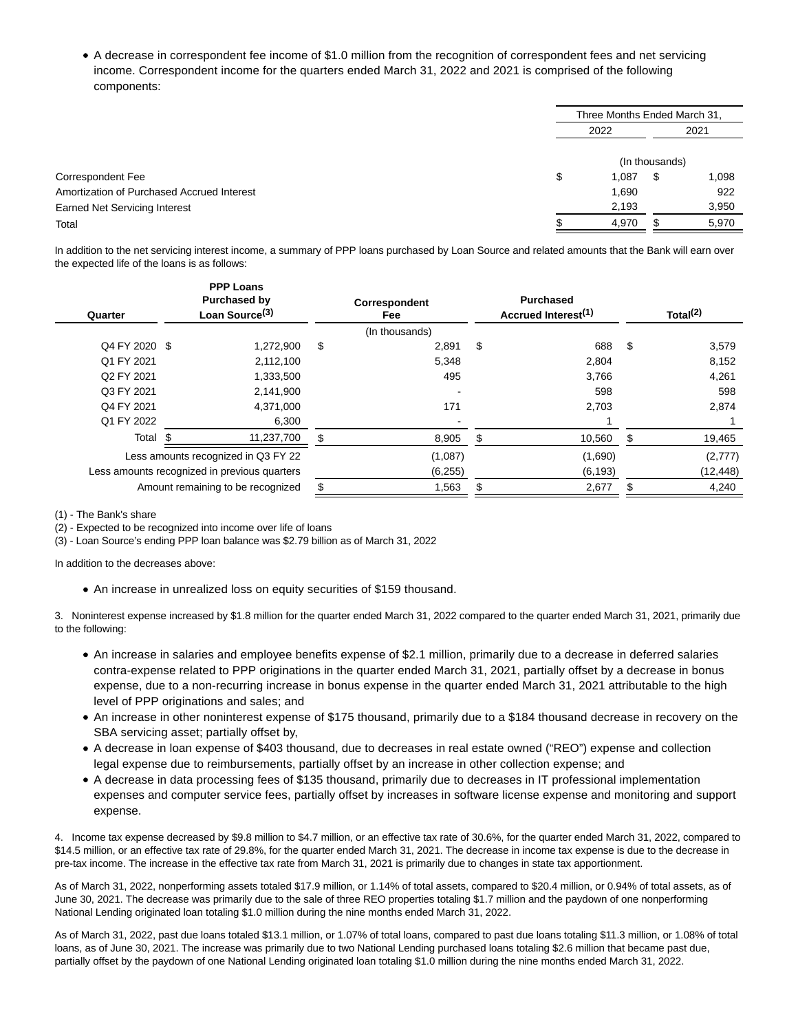A decrease in correspondent fee income of \$1.0 million from the recognition of correspondent fees and net servicing income. Correspondent income for the quarters ended March 31, 2022 and 2021 is comprised of the following components:

|                                            |             | Three Months Ended March 31, |       |  |
|--------------------------------------------|-------------|------------------------------|-------|--|
|                                            | 2022        |                              | 2021  |  |
|                                            |             | (In thousands)               |       |  |
| Correspondent Fee                          | \$<br>1,087 | S                            | 1,098 |  |
| Amortization of Purchased Accrued Interest | 1,690       |                              | 922   |  |
| <b>Earned Net Servicing Interest</b>       | 2,193       |                              | 3,950 |  |
| Total                                      | 4,970       |                              | 5,970 |  |

In addition to the net servicing interest income, a summary of PPP loans purchased by Loan Source and related amounts that the Bank will earn over the expected life of the loans is as follows:

| Quarter       | <b>PPP Loans</b><br><b>Purchased by</b><br>Loan Source <sup>(3)</sup> |    | Correspondent<br>Fee | <b>Purchased</b><br>Accrued Interest <sup>(1)</sup> |    | Total $(2)$ |
|---------------|-----------------------------------------------------------------------|----|----------------------|-----------------------------------------------------|----|-------------|
|               |                                                                       |    | (In thousands)       |                                                     |    |             |
| Q4 FY 2020 \$ | 1,272,900                                                             | \$ | 2.891                | \$<br>688                                           | \$ | 3,579       |
| Q1 FY 2021    | 2,112,100                                                             |    | 5,348                | 2,804                                               |    | 8,152       |
| Q2 FY 2021    | 1,333,500                                                             |    | 495                  | 3,766                                               |    | 4,261       |
| Q3 FY 2021    | 2,141,900                                                             |    |                      | 598                                                 |    | 598         |
| Q4 FY 2021    | 4,371,000                                                             |    | 171                  | 2,703                                               |    | 2,874       |
| Q1 FY 2022    | 6,300                                                                 |    |                      |                                                     |    |             |
| Total \$      | 11,237,700                                                            | S  | 8,905                | \$<br>10,560                                        | S  | 19,465      |
|               | Less amounts recognized in Q3 FY 22                                   |    | (1,087)              | (1,690)                                             |    | (2,777)     |
|               | Less amounts recognized in previous quarters                          |    | (6,255)              | (6, 193)                                            |    | (12, 448)   |
|               | Amount remaining to be recognized                                     |    | 1,563                | 2,677                                               |    | 4,240       |
|               |                                                                       |    |                      |                                                     |    |             |

(1) - The Bank's share

(2) - Expected to be recognized into income over life of loans

(3) - Loan Source's ending PPP loan balance was \$2.79 billion as of March 31, 2022

In addition to the decreases above:

An increase in unrealized loss on equity securities of \$159 thousand.

3. Noninterest expense increased by \$1.8 million for the quarter ended March 31, 2022 compared to the quarter ended March 31, 2021, primarily due to the following:

- An increase in salaries and employee benefits expense of \$2.1 million, primarily due to a decrease in deferred salaries contra-expense related to PPP originations in the quarter ended March 31, 2021, partially offset by a decrease in bonus expense, due to a non-recurring increase in bonus expense in the quarter ended March 31, 2021 attributable to the high level of PPP originations and sales; and
- An increase in other noninterest expense of \$175 thousand, primarily due to a \$184 thousand decrease in recovery on the SBA servicing asset; partially offset by,
- A decrease in loan expense of \$403 thousand, due to decreases in real estate owned ("REO") expense and collection legal expense due to reimbursements, partially offset by an increase in other collection expense; and
- A decrease in data processing fees of \$135 thousand, primarily due to decreases in IT professional implementation expenses and computer service fees, partially offset by increases in software license expense and monitoring and support expense.

4. Income tax expense decreased by \$9.8 million to \$4.7 million, or an effective tax rate of 30.6%, for the quarter ended March 31, 2022, compared to \$14.5 million, or an effective tax rate of 29.8%, for the quarter ended March 31, 2021. The decrease in income tax expense is due to the decrease in pre-tax income. The increase in the effective tax rate from March 31, 2021 is primarily due to changes in state tax apportionment.

As of March 31, 2022, nonperforming assets totaled \$17.9 million, or 1.14% of total assets, compared to \$20.4 million, or 0.94% of total assets, as of June 30, 2021. The decrease was primarily due to the sale of three REO properties totaling \$1.7 million and the paydown of one nonperforming National Lending originated loan totaling \$1.0 million during the nine months ended March 31, 2022.

As of March 31, 2022, past due loans totaled \$13.1 million, or 1.07% of total loans, compared to past due loans totaling \$11.3 million, or 1.08% of total loans, as of June 30, 2021. The increase was primarily due to two National Lending purchased loans totaling \$2.6 million that became past due, partially offset by the paydown of one National Lending originated loan totaling \$1.0 million during the nine months ended March 31, 2022.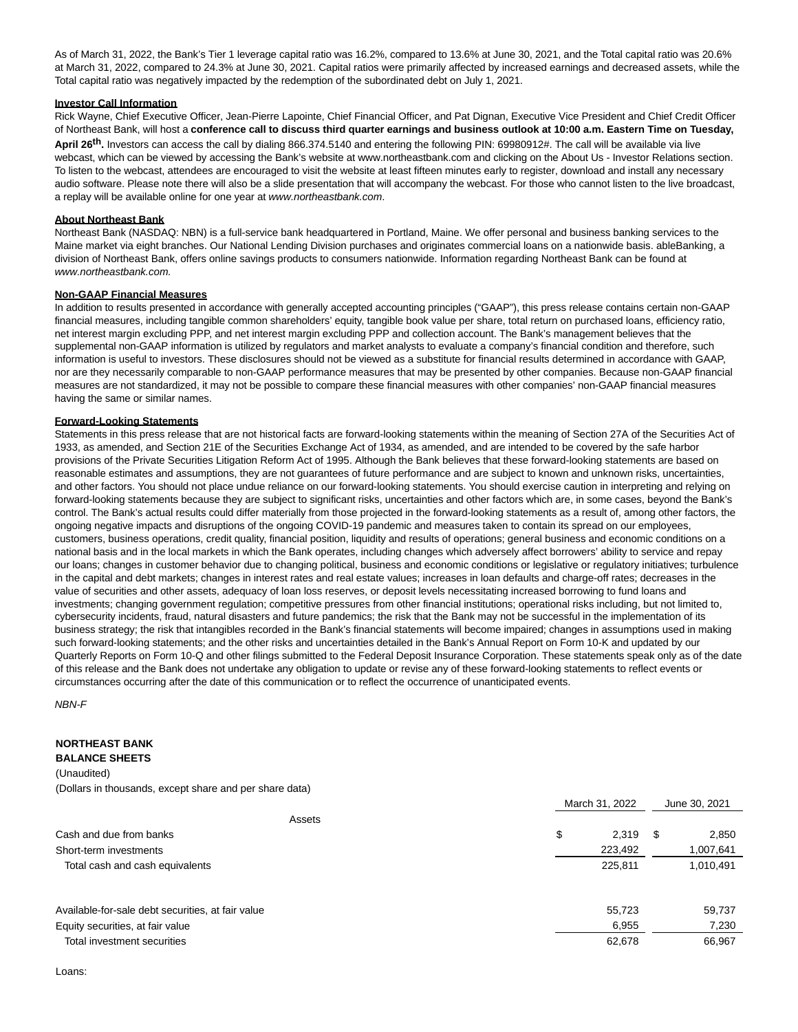As of March 31, 2022, the Bank's Tier 1 leverage capital ratio was 16.2%, compared to 13.6% at June 30, 2021, and the Total capital ratio was 20.6% at March 31, 2022, compared to 24.3% at June 30, 2021. Capital ratios were primarily affected by increased earnings and decreased assets, while the Total capital ratio was negatively impacted by the redemption of the subordinated debt on July 1, 2021.

### **Investor Call Information**

Rick Wayne, Chief Executive Officer, Jean-Pierre Lapointe, Chief Financial Officer, and Pat Dignan, Executive Vice President and Chief Credit Officer of Northeast Bank, will host a **conference call to discuss third quarter earnings and business outlook at 10:00 a.m. Eastern Time on Tuesday,**

**April 26th.** Investors can access the call by dialing 866.374.5140 and entering the following PIN: 69980912#. The call will be available via live webcast, which can be viewed by accessing the Bank's website at www.northeastbank.com and clicking on the About Us - Investor Relations section. To listen to the webcast, attendees are encouraged to visit the website at least fifteen minutes early to register, download and install any necessary audio software. Please note there will also be a slide presentation that will accompany the webcast. For those who cannot listen to the live broadcast, a replay will be available online for one year at www.northeastbank.com.

### **About Northeast Bank**

Northeast Bank (NASDAQ: NBN) is a full-service bank headquartered in Portland, Maine. We offer personal and business banking services to the Maine market via eight branches. Our National Lending Division purchases and originates commercial loans on a nationwide basis. ableBanking, a division of Northeast Bank, offers online savings products to consumers nationwide. Information regarding Northeast Bank can be found at www.northeastbank.com.

# **Non-GAAP Financial Measures**

In addition to results presented in accordance with generally accepted accounting principles ("GAAP"), this press release contains certain non-GAAP financial measures, including tangible common shareholders' equity, tangible book value per share, total return on purchased loans, efficiency ratio, net interest margin excluding PPP, and net interest margin excluding PPP and collection account. The Bank's management believes that the supplemental non-GAAP information is utilized by regulators and market analysts to evaluate a company's financial condition and therefore, such information is useful to investors. These disclosures should not be viewed as a substitute for financial results determined in accordance with GAAP, nor are they necessarily comparable to non-GAAP performance measures that may be presented by other companies. Because non-GAAP financial measures are not standardized, it may not be possible to compare these financial measures with other companies' non-GAAP financial measures having the same or similar names.

# **Forward-Looking Statements**

Statements in this press release that are not historical facts are forward-looking statements within the meaning of Section 27A of the Securities Act of 1933, as amended, and Section 21E of the Securities Exchange Act of 1934, as amended, and are intended to be covered by the safe harbor provisions of the Private Securities Litigation Reform Act of 1995. Although the Bank believes that these forward-looking statements are based on reasonable estimates and assumptions, they are not guarantees of future performance and are subject to known and unknown risks, uncertainties, and other factors. You should not place undue reliance on our forward-looking statements. You should exercise caution in interpreting and relying on forward-looking statements because they are subject to significant risks, uncertainties and other factors which are, in some cases, beyond the Bank's control. The Bank's actual results could differ materially from those projected in the forward-looking statements as a result of, among other factors, the ongoing negative impacts and disruptions of the ongoing COVID-19 pandemic and measures taken to contain its spread on our employees, customers, business operations, credit quality, financial position, liquidity and results of operations; general business and economic conditions on a national basis and in the local markets in which the Bank operates, including changes which adversely affect borrowers' ability to service and repay our loans; changes in customer behavior due to changing political, business and economic conditions or legislative or regulatory initiatives; turbulence in the capital and debt markets; changes in interest rates and real estate values; increases in loan defaults and charge-off rates; decreases in the value of securities and other assets, adequacy of loan loss reserves, or deposit levels necessitating increased borrowing to fund loans and investments; changing government regulation; competitive pressures from other financial institutions; operational risks including, but not limited to, cybersecurity incidents, fraud, natural disasters and future pandemics; the risk that the Bank may not be successful in the implementation of its business strategy; the risk that intangibles recorded in the Bank's financial statements will become impaired; changes in assumptions used in making such forward-looking statements; and the other risks and uncertainties detailed in the Bank's Annual Report on Form 10-K and updated by our Quarterly Reports on Form 10-Q and other filings submitted to the Federal Deposit Insurance Corporation. These statements speak only as of the date of this release and the Bank does not undertake any obligation to update or revise any of these forward-looking statements to reflect events or circumstances occurring after the date of this communication or to reflect the occurrence of unanticipated events.

NBN-F

### **NORTHEAST BANK BALANCE SHEETS**

(Unaudited) (Dollars in thousands, except share and per share data)

|                                                   | March 31, 2022 | JUNE 30, ZUZ I |
|---------------------------------------------------|----------------|----------------|
| Assets                                            |                |                |
| Cash and due from banks                           | \$<br>2.319    | \$<br>2.850    |
| Short-term investments                            | 223,492        | 1,007,641      |
| Total cash and cash equivalents                   | 225.811        | 1,010,491      |
| Available-for-sale debt securities, at fair value | 55,723         | 59,737         |
| Equity securities, at fair value                  | 6,955          | 7,230          |
| Total investment securities                       | 62,678         | 66,967         |

March 34, 2022 June 30, 2021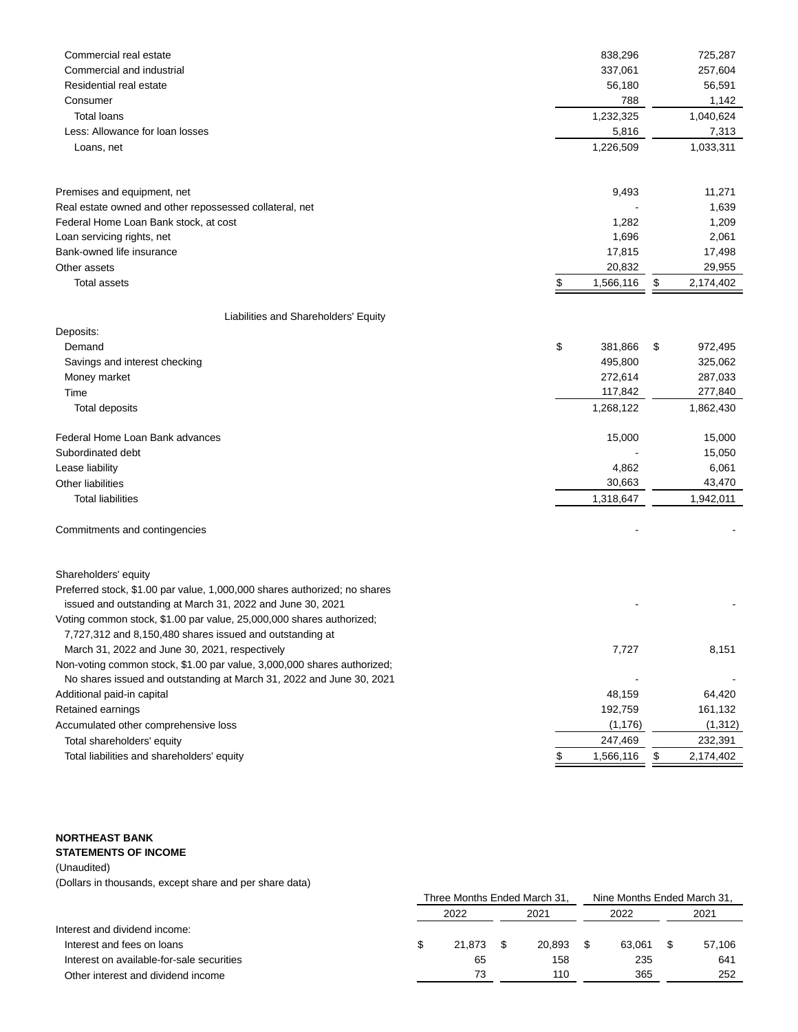| Commercial real estate                                                                                                           | 838,296         | 725,287         |
|----------------------------------------------------------------------------------------------------------------------------------|-----------------|-----------------|
| Commercial and industrial                                                                                                        | 337,061         | 257,604         |
| Residential real estate                                                                                                          | 56,180          | 56,591          |
| Consumer                                                                                                                         | 788             | 1,142           |
| <b>Total loans</b>                                                                                                               | 1,232,325       | 1,040,624       |
| Less: Allowance for loan losses                                                                                                  | 5,816           | 7,313           |
| Loans, net                                                                                                                       | 1,226,509       | 1,033,311       |
| Premises and equipment, net                                                                                                      | 9,493           | 11,271          |
| Real estate owned and other repossessed collateral, net                                                                          |                 | 1,639           |
| Federal Home Loan Bank stock, at cost                                                                                            | 1,282           | 1,209           |
| Loan servicing rights, net                                                                                                       | 1,696           | 2,061           |
| Bank-owned life insurance                                                                                                        | 17,815          | 17,498          |
| Other assets                                                                                                                     | 20,832          | 29,955          |
| <b>Total assets</b>                                                                                                              | \$<br>1,566,116 | \$<br>2,174,402 |
| Liabilities and Shareholders' Equity                                                                                             |                 |                 |
| Deposits:                                                                                                                        |                 |                 |
| Demand                                                                                                                           | \$<br>381,866   | \$<br>972,495   |
| Savings and interest checking                                                                                                    | 495,800         | 325,062         |
| Money market                                                                                                                     | 272,614         | 287,033         |
| Time                                                                                                                             | 117,842         | 277,840         |
| Total deposits                                                                                                                   | 1,268,122       | 1,862,430       |
| Federal Home Loan Bank advances                                                                                                  | 15,000          | 15,000          |
| Subordinated debt                                                                                                                |                 | 15,050          |
| Lease liability                                                                                                                  | 4,862           | 6,061           |
| <b>Other liabilities</b>                                                                                                         | 30,663          | 43,470          |
| <b>Total liabilities</b>                                                                                                         | 1,318,647       | 1,942,011       |
| Commitments and contingencies                                                                                                    |                 |                 |
| Shareholders' equity                                                                                                             |                 |                 |
| Preferred stock, \$1.00 par value, 1,000,000 shares authorized; no shares                                                        |                 |                 |
| issued and outstanding at March 31, 2022 and June 30, 2021                                                                       |                 |                 |
| Voting common stock, \$1.00 par value, 25,000,000 shares authorized;<br>7,727,312 and 8,150,480 shares issued and outstanding at |                 |                 |
| March 31, 2022 and June 30, 2021, respectively                                                                                   | 7,727           | 8,151           |
| Non-voting common stock, \$1.00 par value, 3,000,000 shares authorized;                                                          |                 |                 |
| No shares issued and outstanding at March 31, 2022 and June 30, 2021                                                             |                 |                 |
| Additional paid-in capital                                                                                                       | 48,159          | 64,420          |
| Retained earnings                                                                                                                | 192,759         | 161,132         |
| Accumulated other comprehensive loss                                                                                             | (1, 176)        | (1, 312)        |
| Total shareholders' equity                                                                                                       | 247,469         | 232,391         |
| Total liabilities and shareholders' equity                                                                                       | \$<br>1,566,116 | 2,174,402       |
|                                                                                                                                  |                 |                 |

# **NORTHEAST BANK STATEMENTS OF INCOME**

# (Unaudited)

(Dollars in thousands, except share and per share data)

|                                           | Three Months Ended March 31, |        |  |        | Nine Months Ended March 31, |        |  |        |
|-------------------------------------------|------------------------------|--------|--|--------|-----------------------------|--------|--|--------|
|                                           | 2022                         |        |  | 2021   |                             | 2022   |  | 2021   |
| Interest and dividend income:             |                              |        |  |        |                             |        |  |        |
| Interest and fees on loans                |                              | 21.873 |  | 20.893 |                             | 63.061 |  | 57.106 |
| Interest on available-for-sale securities |                              | 65     |  | 158    |                             | 235    |  | 641    |
| Other interest and dividend income        |                              | 73     |  | 110    |                             | 365    |  | 252    |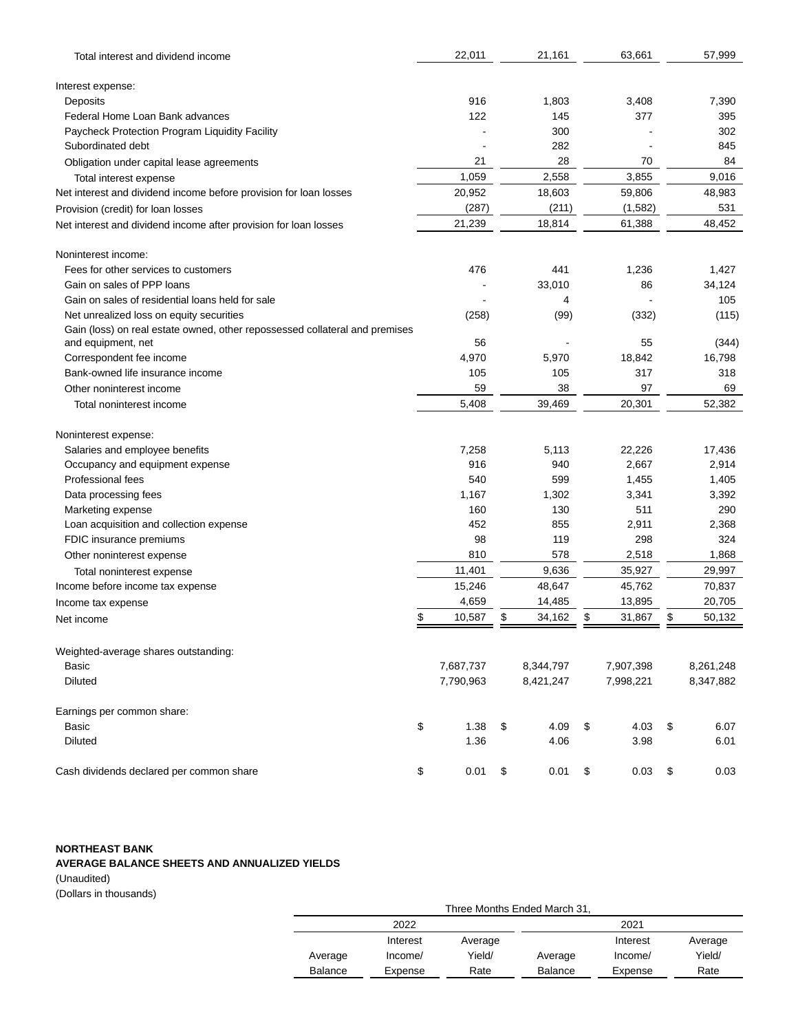| Total interest and dividend income                                                                | 22,011       | 21,161       | 63,661       | 57,999        |
|---------------------------------------------------------------------------------------------------|--------------|--------------|--------------|---------------|
| Interest expense:                                                                                 |              |              |              |               |
| Deposits                                                                                          | 916          | 1,803        | 3,408        | 7,390         |
| Federal Home Loan Bank advances                                                                   | 122          | 145          | 377          | 395           |
| Paycheck Protection Program Liquidity Facility                                                    |              | 300          |              | 302           |
| Subordinated debt                                                                                 |              | 282          |              | 845           |
| Obligation under capital lease agreements                                                         | 21           | 28           | 70           | 84            |
| Total interest expense                                                                            | 1,059        | 2,558        | 3,855        | 9,016         |
| Net interest and dividend income before provision for loan losses                                 | 20,952       | 18,603       | 59,806       | 48,983        |
| Provision (credit) for loan losses                                                                | (287)        | (211)        | (1,582)      | 531           |
| Net interest and dividend income after provision for loan losses                                  | 21,239       | 18,814       | 61,388       | 48,452        |
|                                                                                                   |              |              |              |               |
| Noninterest income:                                                                               | 476          |              |              |               |
| Fees for other services to customers<br>Gain on sales of PPP loans                                |              | 441          | 1,236        | 1,427         |
| Gain on sales of residential loans held for sale                                                  |              | 33,010       | 86           | 34,124<br>105 |
| Net unrealized loss on equity securities                                                          |              | 4            |              |               |
|                                                                                                   | (258)        | (99)         | (332)        | (115)         |
| Gain (loss) on real estate owned, other repossessed collateral and premises<br>and equipment, net | 56           |              | 55           | (344)         |
| Correspondent fee income                                                                          | 4,970        | 5,970        | 18,842       | 16,798        |
| Bank-owned life insurance income                                                                  | 105          | 105          | 317          | 318           |
| Other noninterest income                                                                          | 59           | 38           | 97           | 69            |
| Total noninterest income                                                                          | 5,408        | 39,469       | 20,301       | 52,382        |
|                                                                                                   |              |              |              |               |
| Noninterest expense:                                                                              |              |              |              |               |
| Salaries and employee benefits                                                                    | 7,258        | 5,113        | 22,226       | 17,436        |
| Occupancy and equipment expense                                                                   | 916          | 940          | 2,667        | 2,914         |
| Professional fees                                                                                 | 540          | 599          | 1,455        | 1,405         |
| Data processing fees                                                                              | 1,167        | 1,302        | 3,341        | 3,392         |
| Marketing expense                                                                                 | 160          | 130          | 511          | 290           |
| Loan acquisition and collection expense                                                           | 452          | 855          | 2,911        | 2,368         |
| FDIC insurance premiums                                                                           | 98           | 119          | 298          | 324           |
| Other noninterest expense                                                                         | 810          | 578          | 2,518        | 1,868         |
| Total noninterest expense                                                                         | 11,401       | 9,636        | 35,927       | 29,997        |
| Income before income tax expense                                                                  | 15,246       | 48,647       | 45,762       | 70,837        |
| Income tax expense                                                                                | 4,659        | 14,485       | 13,895       | 20,705        |
| Net income                                                                                        | \$<br>10,587 | \$<br>34,162 | \$<br>31,867 | \$<br>50,132  |
| Weighted-average shares outstanding:                                                              |              |              |              |               |
| Basic                                                                                             | 7,687,737    | 8,344,797    | 7,907,398    | 8,261,248     |
| <b>Diluted</b>                                                                                    | 7,790,963    | 8,421,247    | 7,998,221    | 8,347,882     |
| Earnings per common share:                                                                        |              |              |              |               |
| Basic                                                                                             | \$<br>1.38   | \$<br>4.09   | \$<br>4.03   | \$<br>6.07    |
| Diluted                                                                                           | 1.36         | 4.06         | 3.98         | 6.01          |
| Cash dividends declared per common share                                                          | \$<br>0.01   | \$<br>0.01   | \$<br>0.03   | \$<br>0.03    |

# **NORTHEAST BANK**

# **AVERAGE BALANCE SHEETS AND ANNUALIZED YIELDS**

(Unaudited) (Dollars in thousands)

|         | Three Months Ended March 31, |         |         |          |         |  |  |  |  |  |  |
|---------|------------------------------|---------|---------|----------|---------|--|--|--|--|--|--|
|         | 2022                         |         | 2021    |          |         |  |  |  |  |  |  |
|         | Interest                     | Average |         | Interest | Average |  |  |  |  |  |  |
| Average | Income/                      | Yield/  | Average | Income/  | Yield/  |  |  |  |  |  |  |
| Balance | Expense                      | Rate    | Balance | Expense  | Rate    |  |  |  |  |  |  |
|         |                              |         |         |          |         |  |  |  |  |  |  |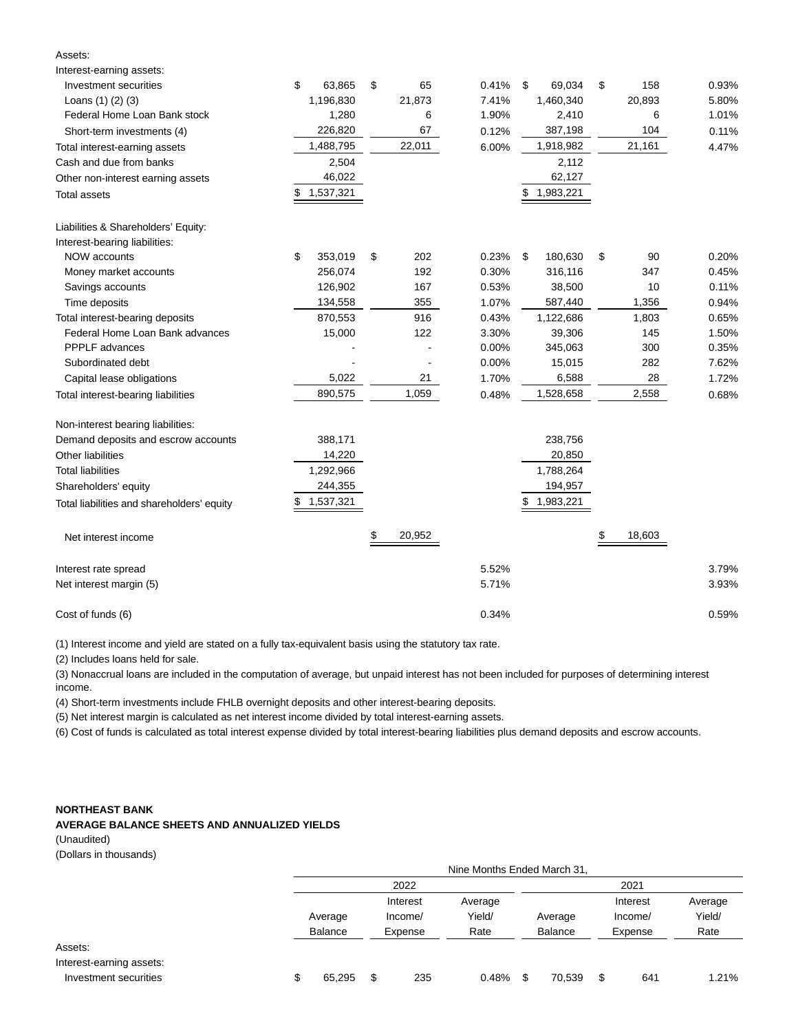| Interest-earning assets:                   |                 |    |        |       |                 |              |       |
|--------------------------------------------|-----------------|----|--------|-------|-----------------|--------------|-------|
| Investment securities                      | \$<br>63,865    | \$ | 65     | 0.41% | 69,034<br>\$    | \$<br>158    | 0.93% |
| Loans $(1)$ $(2)$ $(3)$                    | 1,196,830       |    | 21,873 | 7.41% | 1,460,340       | 20,893       | 5.80% |
| Federal Home Loan Bank stock               | 1,280           |    | 6      | 1.90% | 2,410           | 6            | 1.01% |
| Short-term investments (4)                 | 226,820         |    | 67     | 0.12% | 387,198         | 104          | 0.11% |
| Total interest-earning assets              | 1,488,795       |    | 22,011 | 6.00% | 1,918,982       | 21,161       | 4.47% |
| Cash and due from banks                    | 2,504           |    |        |       | 2,112           |              |       |
| Other non-interest earning assets          | 46,022          |    |        |       | 62,127          |              |       |
| Total assets                               | 1,537,321<br>\$ |    |        |       | 1,983,221       |              |       |
| Liabilities & Shareholders' Equity:        |                 |    |        |       |                 |              |       |
| Interest-bearing liabilities:              |                 |    |        |       |                 |              |       |
| NOW accounts                               | \$<br>353,019   | \$ | 202    | 0.23% | 180,630<br>\$   | \$<br>90     | 0.20% |
| Money market accounts                      | 256,074         |    | 192    | 0.30% | 316,116         | 347          | 0.45% |
| Savings accounts                           | 126,902         |    | 167    | 0.53% | 38,500          | 10           | 0.11% |
| Time deposits                              | 134,558         |    | 355    | 1.07% | 587,440         | 1,356        | 0.94% |
| Total interest-bearing deposits            | 870,553         |    | 916    | 0.43% | 1,122,686       | 1,803        | 0.65% |
| Federal Home Loan Bank advances            | 15,000          |    | 122    | 3.30% | 39,306          | 145          | 1.50% |
| <b>PPPLF</b> advances                      |                 |    |        | 0.00% | 345,063         | 300          | 0.35% |
| Subordinated debt                          |                 |    |        | 0.00% | 15,015          | 282          | 7.62% |
| Capital lease obligations                  | 5,022           |    | 21     | 1.70% | 6,588           | 28           | 1.72% |
| Total interest-bearing liabilities         | 890,575         |    | 1,059  | 0.48% | 1,528,658       | 2,558        | 0.68% |
| Non-interest bearing liabilities:          |                 |    |        |       |                 |              |       |
| Demand deposits and escrow accounts        | 388,171         |    |        |       | 238,756         |              |       |
| Other liabilities                          | 14,220          |    |        |       | 20,850          |              |       |
| <b>Total liabilities</b>                   | 1,292,966       |    |        |       | 1,788,264       |              |       |
| Shareholders' equity                       | 244,355         |    |        |       | 194,957         |              |       |
| Total liabilities and shareholders' equity | 1,537,321<br>\$ |    |        |       | 1,983,221<br>\$ |              |       |
| Net interest income                        |                 | S. | 20,952 |       |                 | \$<br>18,603 |       |
| Interest rate spread                       |                 |    |        | 5.52% |                 |              | 3.79% |
| Net interest margin (5)                    |                 |    |        | 5.71% |                 |              | 3.93% |
| Cost of funds (6)                          |                 |    |        | 0.34% |                 |              | 0.59% |

(1) Interest income and yield are stated on a fully tax-equivalent basis using the statutory tax rate.

(2) Includes loans held for sale.

Assets:

(3) Nonaccrual loans are included in the computation of average, but unpaid interest has not been included for purposes of determining interest income.

(4) Short-term investments include FHLB overnight deposits and other interest-bearing deposits.

(5) Net interest margin is calculated as net interest income divided by total interest-earning assets.

(6) Cost of funds is calculated as total interest expense divided by total interest-bearing liabilities plus demand deposits and escrow accounts.

## **NORTHEAST BANK**

## **AVERAGE BALANCE SHEETS AND ANNUALIZED YIELDS**

(Unaudited)

|  | (Dollars in thousands) |
|--|------------------------|
|--|------------------------|

|                                                              | Nine Months Ended March 31, |    |                                |                           |   |                           |    |                                |                           |  |
|--------------------------------------------------------------|-----------------------------|----|--------------------------------|---------------------------|---|---------------------------|----|--------------------------------|---------------------------|--|
|                                                              | 2022                        |    |                                |                           |   |                           |    | 2021                           |                           |  |
|                                                              | Average<br>Balance          |    | Interest<br>Income/<br>Expense | Average<br>Yield/<br>Rate |   | Average<br><b>Balance</b> |    | Interest<br>Income/<br>Expense | Average<br>Yield/<br>Rate |  |
| Assets:<br>Interest-earning assets:<br>Investment securities | \$<br>65,295                | \$ | 235                            | 0.48%                     | S | 70,539                    | \$ | 641                            | 1.21%                     |  |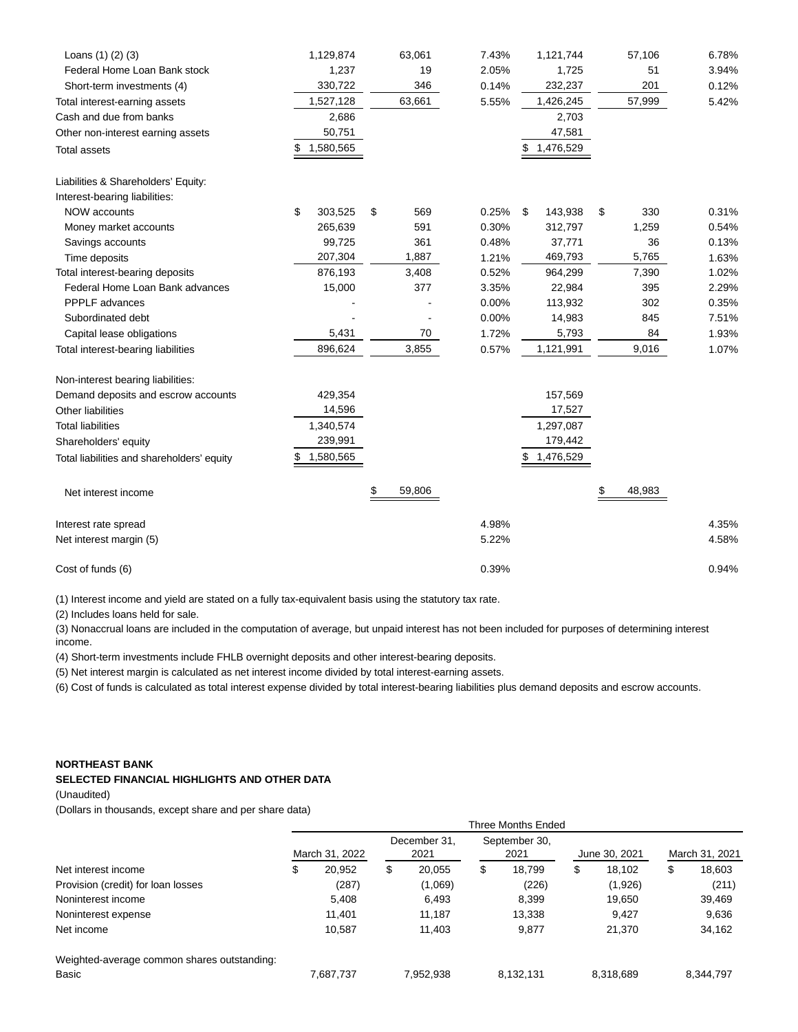| Loans $(1)$ $(2)$ $(3)$                    | 1,129,874       | 63,061       | 7.43% | 1,121,744     | 57,106       | 6.78% |
|--------------------------------------------|-----------------|--------------|-------|---------------|--------------|-------|
| Federal Home Loan Bank stock               | 1,237           | 19           | 2.05% | 1,725         | 51           | 3.94% |
| Short-term investments (4)                 | 330,722         | 346          | 0.14% | 232,237       | 201          | 0.12% |
| Total interest-earning assets              | 1,527,128       | 63,661       | 5.55% | 1,426,245     | 57,999       | 5.42% |
| Cash and due from banks                    | 2,686           |              |       | 2,703         |              |       |
| Other non-interest earning assets          | 50,751          |              |       | 47,581        |              |       |
| Total assets                               | 1,580,565<br>\$ |              |       | 1,476,529     |              |       |
| Liabilities & Shareholders' Equity:        |                 |              |       |               |              |       |
| Interest-bearing liabilities:              |                 |              |       |               |              |       |
| <b>NOW accounts</b>                        | \$<br>303,525   | \$<br>569    | 0.25% | \$<br>143,938 | 330<br>\$    | 0.31% |
| Money market accounts                      | 265,639         | 591          | 0.30% | 312,797       | 1,259        | 0.54% |
| Savings accounts                           | 99,725          | 361          | 0.48% | 37,771        | 36           | 0.13% |
| Time deposits                              | 207,304         | 1,887        | 1.21% | 469,793       | 5,765        | 1.63% |
| Total interest-bearing deposits            | 876,193         | 3,408        | 0.52% | 964,299       | 7,390        | 1.02% |
| Federal Home Loan Bank advances            | 15,000          | 377          | 3.35% | 22,984        | 395          | 2.29% |
| PPPLF advances                             |                 |              | 0.00% | 113,932       | 302          | 0.35% |
| Subordinated debt                          |                 |              | 0.00% | 14,983        | 845          | 7.51% |
| Capital lease obligations                  | 5,431           | 70           | 1.72% | 5,793         | 84           | 1.93% |
| Total interest-bearing liabilities         | 896,624         | 3,855        | 0.57% | 1,121,991     | 9,016        | 1.07% |
| Non-interest bearing liabilities:          |                 |              |       |               |              |       |
| Demand deposits and escrow accounts        | 429,354         |              |       | 157,569       |              |       |
| Other liabilities                          | 14,596          |              |       | 17,527        |              |       |
| <b>Total liabilities</b>                   | 1,340,574       |              |       | 1,297,087     |              |       |
| Shareholders' equity                       | 239,991         |              |       | 179,442       |              |       |
| Total liabilities and shareholders' equity | 1,580,565       |              |       | 1,476,529     |              |       |
| Net interest income                        |                 | \$<br>59,806 |       |               | 48,983<br>\$ |       |
| Interest rate spread                       |                 |              | 4.98% |               |              | 4.35% |
| Net interest margin (5)                    |                 |              | 5.22% |               |              | 4.58% |
| Cost of funds (6)                          |                 |              | 0.39% |               |              | 0.94% |

(1) Interest income and yield are stated on a fully tax-equivalent basis using the statutory tax rate.

(2) Includes loans held for sale.

(3) Nonaccrual loans are included in the computation of average, but unpaid interest has not been included for purposes of determining interest income.

(4) Short-term investments include FHLB overnight deposits and other interest-bearing deposits.

(5) Net interest margin is calculated as net interest income divided by total interest-earning assets.

(6) Cost of funds is calculated as total interest expense divided by total interest-bearing liabilities plus demand deposits and escrow accounts.

## **NORTHEAST BANK**

## **SELECTED FINANCIAL HIGHLIGHTS AND OTHER DATA**

(Unaudited)

(Dollars in thousands, except share and per share data)

|                                             | <b>Three Months Ended</b> |           |                      |           |                       |           |               |           |                |           |  |
|---------------------------------------------|---------------------------|-----------|----------------------|-----------|-----------------------|-----------|---------------|-----------|----------------|-----------|--|
| Net interest income                         | March 31, 2022            |           | December 31.<br>2021 |           | September 30,<br>2021 |           | June 30, 2021 |           | March 31, 2021 |           |  |
|                                             | \$                        | 20,952    | \$                   | 20.055    | \$                    | 18.799    | \$            | 18.102    | \$             | 18,603    |  |
| Provision (credit) for loan losses          |                           | (287)     |                      | (1,069)   |                       | (226)     |               | (1,926)   |                | (211)     |  |
| Noninterest income                          |                           | 5.408     |                      | 6.493     |                       | 8.399     |               | 19,650    |                | 39,469    |  |
| Noninterest expense                         |                           | 11.401    |                      | 11.187    |                       | 13,338    |               | 9.427     |                | 9,636     |  |
| Net income                                  |                           | 10,587    |                      | 11,403    |                       | 9,877     |               | 21,370    |                | 34,162    |  |
| Weighted-average common shares outstanding: |                           |           |                      |           |                       |           |               |           |                |           |  |
| Basic                                       |                           | 7,687,737 |                      | 7,952,938 |                       | 8,132,131 |               | 8,318,689 |                | 8,344,797 |  |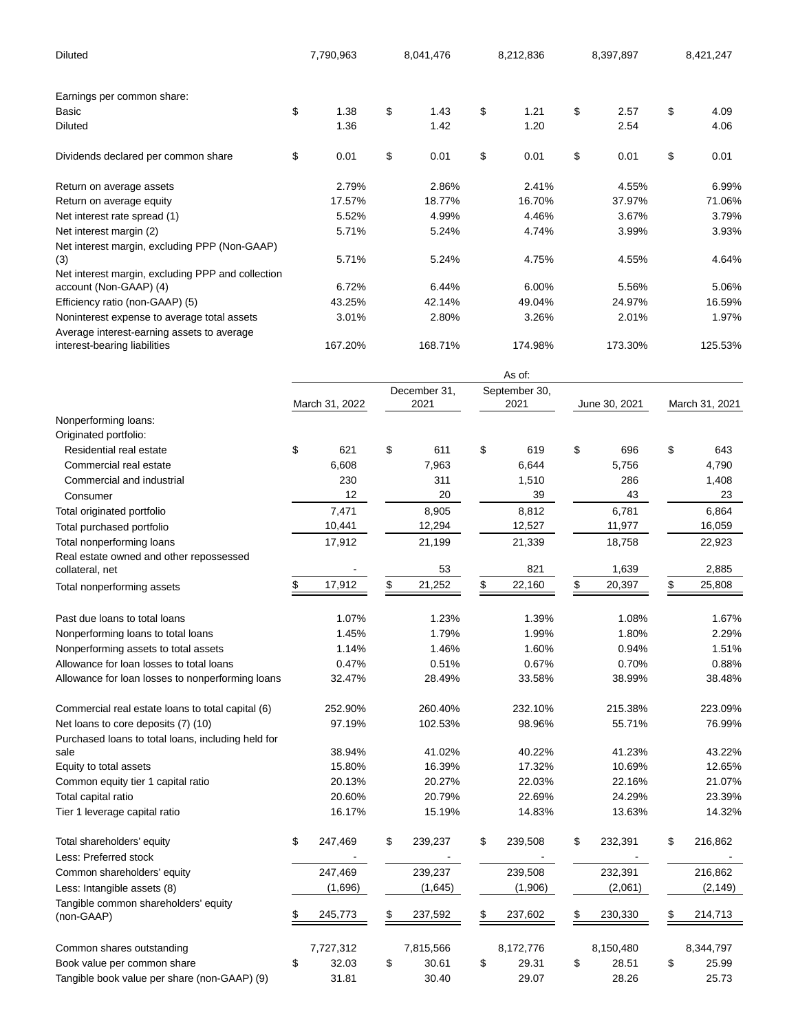| Diluted                                                                     |    | 7,790,963      |    | 8,041,476    |        | 8,212,836     | 8,397,897     | 8,421,247      |
|-----------------------------------------------------------------------------|----|----------------|----|--------------|--------|---------------|---------------|----------------|
| Earnings per common share:                                                  |    |                |    |              |        |               |               |                |
| Basic                                                                       | \$ | 1.38           | \$ | 1.43         | \$     | 1.21          | \$<br>2.57    | \$<br>4.09     |
| Diluted                                                                     |    | 1.36           |    | 1.42         |        | 1.20          | 2.54          | 4.06           |
| Dividends declared per common share                                         | \$ | 0.01           | \$ | 0.01         | \$     | 0.01          | \$<br>0.01    | \$<br>0.01     |
| Return on average assets                                                    |    | 2.79%          |    | 2.86%        |        | 2.41%         | 4.55%         | 6.99%          |
| Return on average equity                                                    |    | 17.57%         |    | 18.77%       |        | 16.70%        | 37.97%        | 71.06%         |
| Net interest rate spread (1)                                                |    | 5.52%          |    | 4.99%        |        | 4.46%         | 3.67%         | 3.79%          |
| Net interest margin (2)                                                     |    | 5.71%          |    | 5.24%        |        | 4.74%         | 3.99%         | 3.93%          |
| Net interest margin, excluding PPP (Non-GAAP)                               |    |                |    |              |        |               |               |                |
| (3)                                                                         |    | 5.71%          |    | 5.24%        |        | 4.75%         | 4.55%         | 4.64%          |
| Net interest margin, excluding PPP and collection<br>account (Non-GAAP) (4) |    | 6.72%          |    | 6.44%        |        | 6.00%         | 5.56%         | 5.06%          |
| Efficiency ratio (non-GAAP) (5)                                             |    | 43.25%         |    | 42.14%       |        | 49.04%        | 24.97%        | 16.59%         |
| Noninterest expense to average total assets                                 |    | 3.01%          |    | 2.80%        |        | 3.26%         | 2.01%         | 1.97%          |
| Average interest-earning assets to average                                  |    |                |    |              |        |               |               |                |
| interest-bearing liabilities                                                |    | 167.20%        |    | 168.71%      |        | 174.98%       | 173.30%       | 125.53%        |
|                                                                             |    |                |    |              | As of: |               |               |                |
|                                                                             |    |                |    | December 31, |        | September 30, |               |                |
|                                                                             |    | March 31, 2022 |    | 2021         |        | 2021          | June 30, 2021 | March 31, 2021 |
| Nonperforming loans:                                                        |    |                |    |              |        |               |               |                |
| Originated portfolio:                                                       |    |                |    |              |        |               |               |                |
| Residential real estate                                                     | \$ | 621            | \$ | 611          | \$     | 619           | \$<br>696     | \$<br>643      |
| Commercial real estate                                                      |    | 6,608          |    | 7,963        |        | 6,644         | 5,756         | 4,790          |
| Commercial and industrial                                                   |    | 230            |    | 311          |        | 1,510         | 286           | 1,408          |
| Consumer                                                                    |    | 12             |    | 20           |        | 39            | 43            | 23             |
| Total originated portfolio                                                  |    | 7,471          |    | 8,905        |        | 8,812         | 6,781         | 6,864          |
| Total purchased portfolio                                                   |    | 10,441         |    | 12,294       |        | 12,527        | 11,977        | 16,059         |
| Total nonperforming loans                                                   |    | 17,912         |    | 21,199       |        | 21,339        | 18,758        | 22,923         |
| Real estate owned and other repossessed                                     |    |                |    |              |        |               |               |                |
| collateral, net                                                             |    |                |    | 53           |        | 821           | 1,639         | 2,885          |
| Total nonperforming assets                                                  | \$ | 17,912         | \$ | 21,252       | \$     | 22,160        | 20,397        | \$<br>25,808   |
| Past due loans to total loans                                               |    | 1.07%          |    | 1.23%        |        | 1.39%         | 1.08%         | 1.67%          |
| Nonperforming loans to total loans                                          |    | 1.45%          |    | 1.79%        |        | 1.99%         | 1.80%         | 2.29%          |
| Nonperforming assets to total assets                                        |    | 1.14%          |    | 1.46%        |        | 1.60%         | 0.94%         | 1.51%          |
| Allowance for loan losses to total loans                                    |    | 0.47%          |    | 0.51%        |        | 0.67%         | 0.70%         | 0.88%          |
| Allowance for loan losses to nonperforming loans                            |    | 32.47%         |    | 28.49%       |        | 33.58%        | 38.99%        | 38.48%         |
| Commercial real estate loans to total capital (6)                           |    | 252.90%        |    | 260.40%      |        | 232.10%       | 215.38%       | 223.09%        |
| Net loans to core deposits (7) (10)                                         |    | 97.19%         |    | 102.53%      |        | 98.96%        | 55.71%        | 76.99%         |
| Purchased loans to total loans, including held for                          |    |                |    |              |        |               |               |                |
| sale                                                                        |    | 38.94%         |    | 41.02%       |        | 40.22%        | 41.23%        | 43.22%         |
| Equity to total assets                                                      |    | 15.80%         |    | 16.39%       |        | 17.32%        | 10.69%        | 12.65%         |
| Common equity tier 1 capital ratio                                          |    | 20.13%         |    | 20.27%       |        | 22.03%        | 22.16%        | 21.07%         |
| Total capital ratio                                                         |    | 20.60%         |    | 20.79%       |        | 22.69%        | 24.29%        | 23.39%         |
| Tier 1 leverage capital ratio                                               |    | 16.17%         |    | 15.19%       |        | 14.83%        | 13.63%        | 14.32%         |
| Total shareholders' equity                                                  | \$ | 247,469        | \$ | 239,237      | \$     | 239,508       | \$<br>232,391 | \$<br>216,862  |
| Less: Preferred stock                                                       |    |                |    |              |        |               |               |                |
| Common shareholders' equity                                                 |    | 247,469        |    | 239,237      |        | 239,508       | 232,391       | 216,862        |
| Less: Intangible assets (8)                                                 |    | (1,696)        |    | (1,645)      |        | (1,906)       | (2,061)       | (2, 149)       |
| Tangible common shareholders' equity                                        |    |                |    |              |        |               |               |                |
| (non-GAAP)                                                                  | \$ | 245,773        | \$ | 237,592      | \$     | 237,602       | \$<br>230,330 | \$<br>214,713  |
| Common shares outstanding                                                   |    | 7,727,312      |    | 7,815,566    |        | 8,172,776     | 8,150,480     | 8,344,797      |
| Book value per common share                                                 | \$ | 32.03          | \$ | 30.61        | \$     | 29.31         | \$<br>28.51   | \$<br>25.99    |
| Tangible book value per share (non-GAAP) (9)                                |    | 31.81          |    | 30.40        |        | 29.07         | 28.26         | 25.73          |